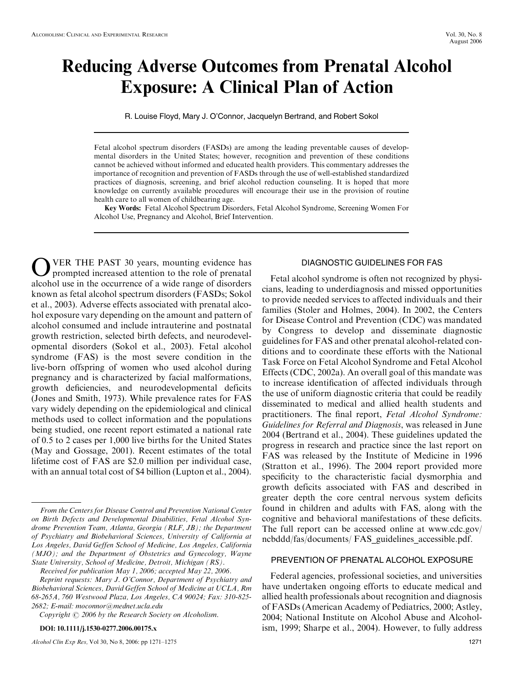# Reducing Adverse Outcomes from Prenatal Alcohol Exposure: A Clinical Plan of Action

R. Louise Floyd, Mary J. O'Connor, Jacquelyn Bertrand, and Robert Sokol

Fetal alcohol spectrum disorders (FASDs) are among the leading preventable causes of developmental disorders in the United States; however, recognition and prevention of these conditions cannot be achieved without informed and educated health providers. This commentary addresses the importance of recognition and prevention of FASDs through the use of well-established standardized practices of diagnosis, screening, and brief alcohol reduction counseling. It is hoped that more knowledge on currently available procedures will encourage their use in the provision of routine health care to all women of childbearing age.

Key Words: Fetal Alcohol Spectrum Disorders, Fetal Alcohol Syndrome, Screening Women For Alcohol Use, Pregnancy and Alcohol, Brief Intervention.

VER THE PAST 30 years, mounting evidence has prompted increased attention to the role of prenatal alcohol use in the occurrence of a wide range of disorders known as fetal alcohol spectrum disorders (FASDs; Sokol et al., 2003). Adverse effects associated with prenatal alcohol exposure vary depending on the amount and pattern of alcohol consumed and include intrauterine and postnatal growth restriction, selected birth defects, and neurodevelopmental disorders (Sokol et al., 2003). Fetal alcohol syndrome (FAS) is the most severe condition in the live-born offspring of women who used alcohol during pregnancy and is characterized by facial malformations, growth deficiencies, and neurodevelopmental deficits (Jones and Smith, 1973). While prevalence rates for FAS vary widely depending on the epidemiological and clinical methods used to collect information and the populations being studied, one recent report estimated a national rate of 0.5 to 2 cases per 1,000 live births for the United States (May and Gossage, 2001). Recent estimates of the total lifetime cost of FAS are \$2.0 million per individual case, with an annual total cost of \$4 billion (Lupton et al., 2004).

Received for publication May 1, 2006; accepted May 22, 2006.

Copyright  $\odot$  2006 by the Research Society on Alcoholism.

DOI: 10.1111/j.1530-0277.2006.00175.x

# DIAGNOSTIC GUIDELINES FOR FAS

Fetal alcohol syndrome is often not recognized by physicians, leading to underdiagnosis and missed opportunities to provide needed services to affected individuals and their families (Stoler and Holmes, 2004). In 2002, the Centers for Disease Control and Prevention (CDC) was mandated by Congress to develop and disseminate diagnostic guidelines for FAS and other prenatal alcohol-related conditions and to coordinate these efforts with the National Task Force on Fetal Alcohol Syndrome and Fetal Alcohol Effects (CDC, 2002a). An overall goal of this mandate was to increase identification of affected individuals through the use of uniform diagnostic criteria that could be readily disseminated to medical and allied health students and practitioners. The final report, Fetal Alcohol Syndrome: Guidelines for Referral and Diagnosis, was released in June 2004 (Bertrand et al., 2004). These guidelines updated the progress in research and practice since the last report on FAS was released by the Institute of Medicine in 1996 (Stratton et al., 1996). The 2004 report provided more specificity to the characteristic facial dysmorphia and growth deficits associated with FAS and described in greater depth the core central nervous system deficits found in children and adults with FAS, along with the cognitive and behavioral manifestations of these deficits. The full report can be accessed online at www.cdc.gov/ ncbddd/fas/documents/ FAS\_guidelines\_accessible.pdf.

# PREVENTION OF PRENATAL ALCOHOL EXPOSURE

Federal agencies, professional societies, and universities have undertaken ongoing efforts to educate medical and allied health professionals about recognition and diagnosis of FASDs (American Academy of Pediatrics, 2000; Astley, 2004; National Institute on Alcohol Abuse and Alcoholism, 1999; Sharpe et al., 2004). However, to fully address

From the Centers for Disease Control and Prevention National Center on Birth Defects and Developmental Disabilities, Fetal Alcohol Syndrome Prevention Team, Atlanta, Georgia (RLF, JB); the Department of Psychiatry and Biobehavioral Sciences, University of California at Los Angeles, David Geffen School of Medicine, Los Angeles, California (MJO); and the Department of Obstetrics and Gynecology, Wayne State University, School of Medicine, Detroit, Michigan (RS).

Reprint requests: Mary J. O'Connor, Department of Psychiatry and Biobehavioral Sciences, David Geffen School of Medicine at UCLA, Rm 68-265A, 760 Westwood Plaza, Los Angeles, CA 90024; Fax: 310-825- 2682; E-mail: moconnor@mednet.ucla.edu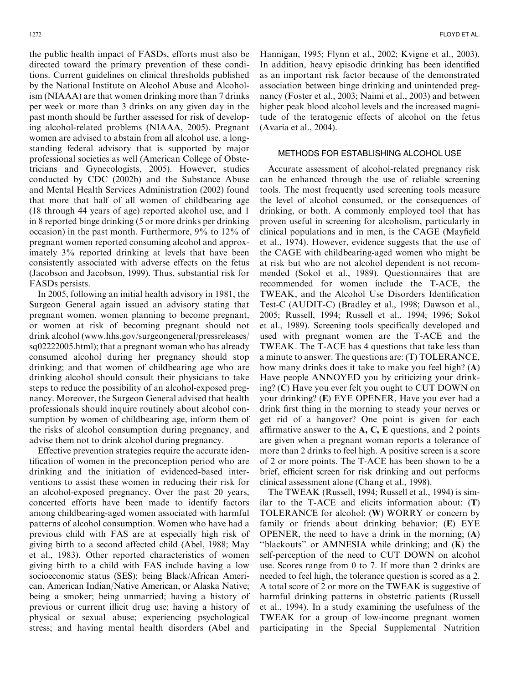the public health impact of FASDs, efforts must also be directed toward the primary prevention of these conditions. Current guidelines on clinical thresholds published by the National Institute on Alcohol Abuse and Alcoholism (NIAAA) are that women drinking more than 7 drinks per week or more than 3 drinks on any given day in the past month should be further assessed for risk of developing alcohol-related problems (NIAAA, 2005). Pregnant women are advised to abstain from all alcohol use, a longstanding federal advisory that is supported by major professional societies as well (American College of Obstetricians and Gynecologists, 2005). However, studies conducted by CDC (2002b) and the Substance Abuse and Mental Health Services Administration (2002) found that more that half of all women of childbearing age (18 through 44 years of age) reported alcohol use, and 1 in 8 reported binge drinking (5 or more drinks per drinking occasion) in the past month. Furthermore, 9% to 12% of pregnant women reported consuming alcohol and approximately 3% reported drinking at levels that have been consistently associated with adverse effects on the fetus (Jacobson and Jacobson, 1999). Thus, substantial risk for FASDs persists.

In 2005, following an initial health advisory in 1981, the Surgeon General again issued an advisory stating that pregnant women, women planning to become pregnant, or women at risk of becoming pregnant should not drink alcohol (www.hhs.gov/surgeongeneral/pressreleases/ sq02222005.html); that a pregnant woman who has already consumed alcohol during her pregnancy should stop drinking; and that women of childbearing age who are drinking alcohol should consult their physicians to take steps to reduce the possibility of an alcohol-exposed pregnancy. Moreover, the Surgeon General advised that health professionals should inquire routinely about alcohol consumption by women of childbearing age, inform them of the risks of alcohol consumption during pregnancy, and advise them not to drink alcohol during pregnancy.

Effective prevention strategies require the accurate identification of women in the preconception period who are drinking and the initiation of evidenced-based interventions to assist these women in reducing their risk for an alcohol-exposed pregnancy. Over the past 20 years, concerted efforts have been made to identify factors among childbearing-aged women associated with harmful patterns of alcohol consumption. Women who have had a previous child with FAS are at especially high risk of giving birth to a second affected child (Abel, 1988; May et al., 1983). Other reported characteristics of women giving birth to a child with FAS include having a low socioeconomic status (SES); being Black/African American, American Indian/Native American, or Alaska Native; being a smoker; being unmarried; having a history of previous or current illicit drug use; having a history of physical or sexual abuse; experiencing psychological stress; and having mental health disorders (Abel and Hannigan, 1995; Flynn et al., 2002; Kvigne et al., 2003). In addition, heavy episodic drinking has been identified as an important risk factor because of the demonstrated association between binge drinking and unintended pregnancy (Foster et al., 2003; Naimi et al., 2003) and between higher peak blood alcohol levels and the increased magnitude of the teratogenic effects of alcohol on the fetus (Avaria et al., 2004).

## METHODS FOR ESTABLISHING ALCOHOL USE

Accurate assessment of alcohol-related pregnancy risk can be enhanced through the use of reliable screening tools. The most frequently used screening tools measure the level of alcohol consumed, or the consequences of drinking, or both. A commonly employed tool that has proven useful in screening for alcoholism, particularly in clinical populations and in men, is the CAGE (Mayfield et al., 1974). However, evidence suggests that the use of the CAGE with childbearing-aged women who might be at risk but who are not alcohol dependent is not recommended (Sokol et al., 1989). Questionnaires that are recommended for women include the T-ACE, the TWEAK, and the Alcohol Use Disorders Identification Test-C (AUDIT-C) (Bradley et al., 1998; Dawson et al., 2005; Russell, 1994; Russell et al., 1994; 1996; Sokol et al., 1989). Screening tools specifically developed and used with pregnant women are the T-ACE and the TWEAK. The T-ACE has 4 questions that take less than a minute to answer. The questions are: (T) TOLERANCE, how many drinks does it take to make you feel high? (A) Have people ANNOYED you by criticizing your drinking? (C) Have you ever felt you ought to CUT DOWN on your drinking? (E) EYE OPENER, Have you ever had a drink first thing in the morning to steady your nerves or get rid of a hangover? One point is given for each affirmative answer to the  $A$ ,  $C$ ,  $E$  questions, and 2 points are given when a pregnant woman reports a tolerance of more than 2 drinks to feel high. A positive screen is a score of 2 or more points. The T-ACE has been shown to be a brief, efficient screen for risk drinking and out performs clinical assessment alone (Chang et al., 1998).

The TWEAK (Russell, 1994; Russell et al., 1994) is similar to the T-ACE and elicits information about: (T) TOLERANCE for alcohol; (W) WORRY or concern by family or friends about drinking behavior; (E) EYE OPENER, the need to have a drink in the morning; (A) ''blackouts'' or AMNESIA while drinking; and (K) the self-perception of the need to CUT DOWN on alcohol use. Scores range from 0 to 7. If more than 2 drinks are needed to feel high, the tolerance question is scored as a 2. A total score of 2 or more on the TWEAK is suggestive of harmful drinking patterns in obstetric patients (Russell et al., 1994). In a study examining the usefulness of the TWEAK for a group of low-income pregnant women participating in the Special Supplemental Nutrition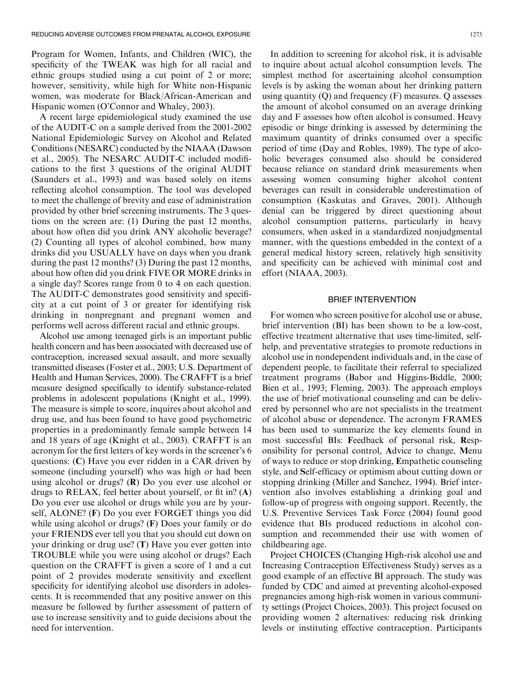Program for Women, Infants, and Children (WIC), the specificity of the TWEAK was high for all racial and ethnic groups studied using a cut point of 2 or more; however, sensitivity, while high for White non-Hispanic women, was moderate for Black/African-American and Hispanic women (O'Connor and Whaley, 2003).

A recent large epidemiological study examined the use of the AUDIT-C on a sample derived from the 2001-2002 National Epidemiologic Survey on Alcohol and Related Conditions (NESARC) conducted by the NIAAA (Dawson et al., 2005). The NESARC AUDIT-C included modifications to the first 3 questions of the original AUDIT (Saunders et al., 1993) and was based solely on items reflecting alcohol consumption. The tool was developed to meet the challenge of brevity and ease of administration provided by other brief screening instruments. The 3 questions on the screen are: (1) During the past 12 months, about how often did you drink ANY alcoholic beverage? (2) Counting all types of alcohol combined, how many drinks did you USUALLY have on days when you drank during the past 12 months? (3) During the past 12 months, about how often did you drink FIVE OR MORE drinks in a single day? Scores range from 0 to 4 on each question. The AUDIT-C demonstrates good sensitivity and specificity at a cut point of 3 or greater for identifying risk drinking in nonpregnant and pregnant women and performs well across different racial and ethnic groups.

Alcohol use among teenaged girls is an important public health concern and has been associated with decreased use of contraception, increased sexual assault, and more sexually transmitted diseases (Foster et al., 2003; U.S. Department of Health and Human Services, 2000). The CRAFFT is a brief measure designed specifically to identify substance-related problems in adolescent populations (Knight et al., 1999). The measure is simple to score, inquires about alcohol and drug use, and has been found to have good psychometric properties in a predominantly female sample between 14 and 18 years of age (Knight et al., 2003). CRAFFT is an acronym for the first letters of key words in the screener's 6 questions: (C) Have you ever ridden in a CAR driven by someone (including yourself) who was high or had been using alcohol or drugs? (R) Do you ever use alcohol or drugs to RELAX, feel better about yourself, or fit in? (A) Do you ever use alcohol or drugs while you are by yourself, ALONE? (F) Do you ever FORGET things you did while using alcohol or drugs? (F) Does your family or do your FRIENDS ever tell you that you should cut down on your drinking or drug use? (T) Have you ever gotten into TROUBLE while you were using alcohol or drugs? Each question on the CRAFFT is given a score of 1 and a cut point of 2 provides moderate sensitivity and excellent specificity for identifying alcohol use disorders in adolescents. It is recommended that any positive answer on this measure be followed by further assessment of pattern of use to increase sensitivity and to guide decisions about the need for intervention.

In addition to screening for alcohol risk, it is advisable to inquire about actual alcohol consumption levels. The simplest method for ascertaining alcohol consumption levels is by asking the woman about her drinking pattern using quantity  $(Q)$  and frequency  $(F)$  measures. Q assesses the amount of alcohol consumed on an average drinking day and F assesses how often alcohol is consumed. Heavy episodic or binge drinking is assessed by determining the maximum quantity of drinks consumed over a specific period of time (Day and Robles, 1989). The type of alcoholic beverages consumed also should be considered because reliance on standard drink measurements when assessing women consuming higher alcohol content beverages can result in considerable underestimation of consumption (Kaskutas and Graves, 2001). Although denial can be triggered by direct questioning about alcohol consumption patterns, particularly in heavy consumers, when asked in a standardized nonjudgmental manner, with the questions embedded in the context of a general medical history screen, relatively high sensitivity and specificity can be achieved with minimal cost and effort (NIAAA, 2003).

#### BRIEF INTERVENTION

For women who screen positive for alcohol use or abuse, brief intervention (BI) has been shown to be a low-cost, effective treatment alternative that uses time-limited, selfhelp, and preventative strategies to promote reductions in alcohol use in nondependent individuals and, in the case of dependent people, to facilitate their referral to specialized treatment programs (Babor and Higgins-Biddle, 2000; Bien et al., 1993; Fleming, 2003). The approach employs the use of brief motivational counseling and can be delivered by personnel who are not specialists in the treatment of alcohol abuse or dependence. The acronym FRAMES has been used to summarize the key elements found in most successful BIs: Feedback of personal risk, Responsibility for personal control, Advice to change, Menu of ways to reduce or stop drinking, Empathetic counseling style, and Self-efficacy or optimism about cutting down or stopping drinking (Miller and Sanchez, 1994). Brief intervention also involves establishing a drinking goal and follow-up of progress with ongoing support. Recently, the U.S. Preventive Services Task Force (2004) found good evidence that BIs produced reductions in alcohol consumption and recommended their use with women of childbearing age.

Project CHOICES (Changing High-risk alcohol use and Increasing Contraception Effectiveness Study) serves as a good example of an effective BI approach. The study was funded by CDC and aimed at preventing alcohol-exposed pregnancies among high-risk women in various community settings (Project Choices, 2003). This project focused on providing women 2 alternatives: reducing risk drinking levels or instituting effective contraception. Participants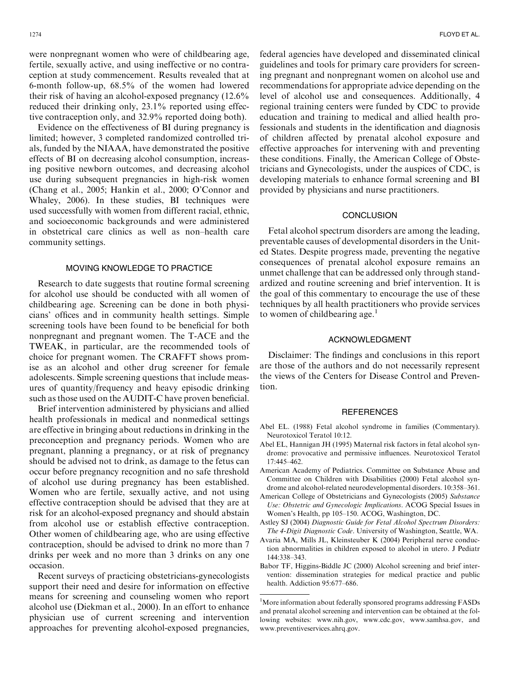were nonpregnant women who were of childbearing age, fertile, sexually active, and using ineffective or no contraception at study commencement. Results revealed that at 6-month follow-up, 68.5% of the women had lowered their risk of having an alcohol-exposed pregnancy (12.6% reduced their drinking only, 23.1% reported using effective contraception only, and 32.9% reported doing both).

Evidence on the effectiveness of BI during pregnancy is limited; however, 3 completed randomized controlled trials, funded by the NIAAA, have demonstrated the positive effects of BI on decreasing alcohol consumption, increasing positive newborn outcomes, and decreasing alcohol use during subsequent pregnancies in high-risk women (Chang et al., 2005; Hankin et al., 2000; O'Connor and Whaley, 2006). In these studies, BI techniques were used successfully with women from different racial, ethnic, and socioeconomic backgrounds and were administered in obstetrical care clinics as well as non–health care community settings.

### MOVING KNOWLEDGE TO PRACTICE

Research to date suggests that routine formal screening for alcohol use should be conducted with all women of childbearing age. Screening can be done in both physicians' offices and in community health settings. Simple screening tools have been found to be beneficial for both nonpregnant and pregnant women. The T-ACE and the TWEAK, in particular, are the recommended tools of choice for pregnant women. The CRAFFT shows promise as an alcohol and other drug screener for female adolescents. Simple screening questions that include measures of quantity/frequency and heavy episodic drinking such as those used on the AUDIT-C have proven beneficial.

Brief intervention administered by physicians and allied health professionals in medical and nonmedical settings are effective in bringing about reductions in drinking in the preconception and pregnancy periods. Women who are pregnant, planning a pregnancy, or at risk of pregnancy should be advised not to drink, as damage to the fetus can occur before pregnancy recognition and no safe threshold of alcohol use during pregnancy has been established. Women who are fertile, sexually active, and not using effective contraception should be advised that they are at risk for an alcohol-exposed pregnancy and should abstain from alcohol use or establish effective contraception. Other women of childbearing age, who are using effective contraception, should be advised to drink no more than 7 drinks per week and no more than 3 drinks on any one occasion.

Recent surveys of practicing obstetricians-gynecologists support their need and desire for information on effective means for screening and counseling women who report alcohol use (Diekman et al., 2000). In an effort to enhance physician use of current screening and intervention approaches for preventing alcohol-exposed pregnancies,

federal agencies have developed and disseminated clinical guidelines and tools for primary care providers for screening pregnant and nonpregnant women on alcohol use and recommendations for appropriate advice depending on the level of alcohol use and consequences. Additionally, 4 regional training centers were funded by CDC to provide education and training to medical and allied health professionals and students in the identification and diagnosis of children affected by prenatal alcohol exposure and effective approaches for intervening with and preventing these conditions. Finally, the American College of Obstetricians and Gynecologists, under the auspices of CDC, is developing materials to enhance formal screening and BI provided by physicians and nurse practitioners.

#### **CONCLUSION**

Fetal alcohol spectrum disorders are among the leading, preventable causes of developmental disorders in the United States. Despite progress made, preventing the negative consequences of prenatal alcohol exposure remains an unmet challenge that can be addressed only through standardized and routine screening and brief intervention. It is the goal of this commentary to encourage the use of these techniques by all health practitioners who provide services to women of childbearing age. $<sup>1</sup>$ </sup>

#### ACKNOWLEDGMENT

Disclaimer: The findings and conclusions in this report are those of the authors and do not necessarily represent the views of the Centers for Disease Control and Prevention.

#### **REFERENCES**

- Abel EL. (1988) Fetal alcohol syndrome in families (Commentary). Neurotoxicol Teratol 10:12.
- Abel EL, Hannigan JH (1995) Maternal risk factors in fetal alcohol syndrome: provocative and permissive influences. Neurotoxicol Teratol 17:445–462.
- American Academy of Pediatrics. Committee on Substance Abuse and Committee on Children with Disabilities (2000) Fetal alcohol syndrome and alcohol-related neurodevelopmental disorders. 10:358–361.
- American College of Obstetricians and Gynecologists (2005) Substance Use: Obstetric and Gynecologic Implications. ACOG Special Issues in Women's Health, pp 105–150. ACOG, Washington, DC.
- Astley SJ (2004) Diagnostic Guide for Fetal Alcohol Spectrum Disorders: The 4-Digit Diagnostic Code. University of Washington, Seattle, WA.
- Avaria MA, Mills JL, Kleinsteuber K (2004) Peripheral nerve conduction abnormalities in children exposed to alcohol in utero. J Pediatr 144:338–343.
- Babor TF, Higgins-Biddle JC (2000) Alcohol screening and brief intervention: dissemination strategies for medical practice and public health. Addiction 95:677–686.

<sup>&</sup>lt;sup>1</sup>More information about federally sponsored programs addressing FASDs and prenatal alcohol screening and intervention can be obtained at the following websites: www.nih.gov, www.cdc.gov, www.samhsa.gov, and www.preventiveservices.ahrq.gov.